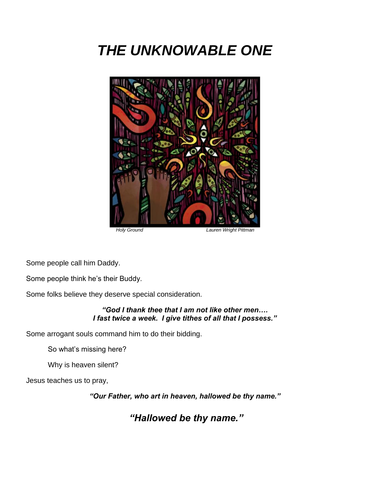# *THE UNKNOWABLE ONE*



 *Holy Ground Lauren Wright Pittman*

Some people call him Daddy.

Some people think he's their Buddy.

Some folks believe they deserve special consideration.

*"God I thank thee that I am not like other men…. I fast twice a week. I give tithes of all that I possess."* 

Some arrogant souls command him to do their bidding.

So what's missing here?

Why is heaven silent?

Jesus teaches us to pray,

*"Our Father, who art in heaven, hallowed be thy name."*

*"Hallowed be thy name."*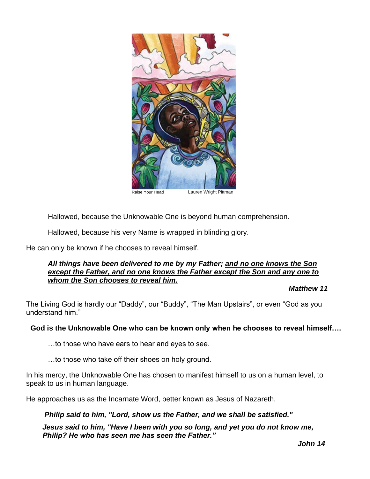

Hallowed, because the Unknowable One is beyond human comprehension.

Hallowed, because his very Name is wrapped in blinding glory.

He can only be known if he chooses to reveal himself.

#### *All things have been delivered to me by my Father; and no one knows the Son except the Father, and no one knows the Father except the Son and any one to whom the Son chooses to reveal him.*

*Matthew 11*

The Living God is hardly our "Daddy", our "Buddy", "The Man Upstairs", or even "God as you understand him."

#### **God is the Unknowable One who can be known only when he chooses to reveal himself….**

…to those who have ears to hear and eyes to see.

…to those who take off their shoes on holy ground.

In his mercy, the Unknowable One has chosen to manifest himself to us on a human level, to speak to us in human language.

He approaches us as the Incarnate Word, better known as Jesus of Nazareth.

*Philip said to him, "Lord, show us the Father, and we shall be satisfied."*

*Jesus said to him, "Have I been with you so long, and yet you do not know me, Philip? He who has seen me has seen the Father."*

*John 14*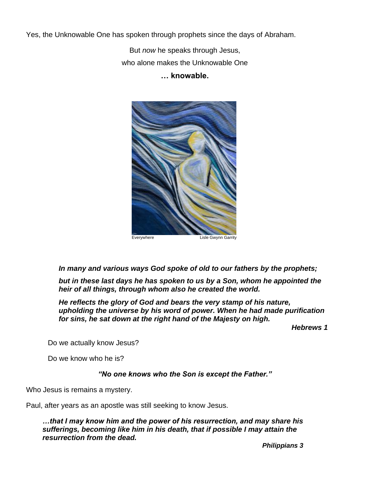Yes, the Unknowable One has spoken through prophets since the days of Abraham.

But *now* he speaks through Jesus, who alone makes the Unknowable One **… knowable.**



*In many and various ways God spoke of old to our fathers by the prophets;*

*but in these last days he has spoken to us by a Son, whom he appointed the heir of all things, through whom also he created the world.*

*He reflects the glory of God and bears the very stamp of his nature, upholding the universe by his word of power. When he had made purification for sins, he sat down at the right hand of the Majesty on high.*

*Hebrews 1*

Do we actually know Jesus?

Do we know who he is?

*"No one knows who the Son is except the Father."*

Who Jesus is remains a mystery.

Paul, after years as an apostle was still seeking to know Jesus.

*…that I may know him and the power of his resurrection, and may share his sufferings, becoming like him in his death, that if possible I may attain the resurrection from the dead.*

*Philippians 3*